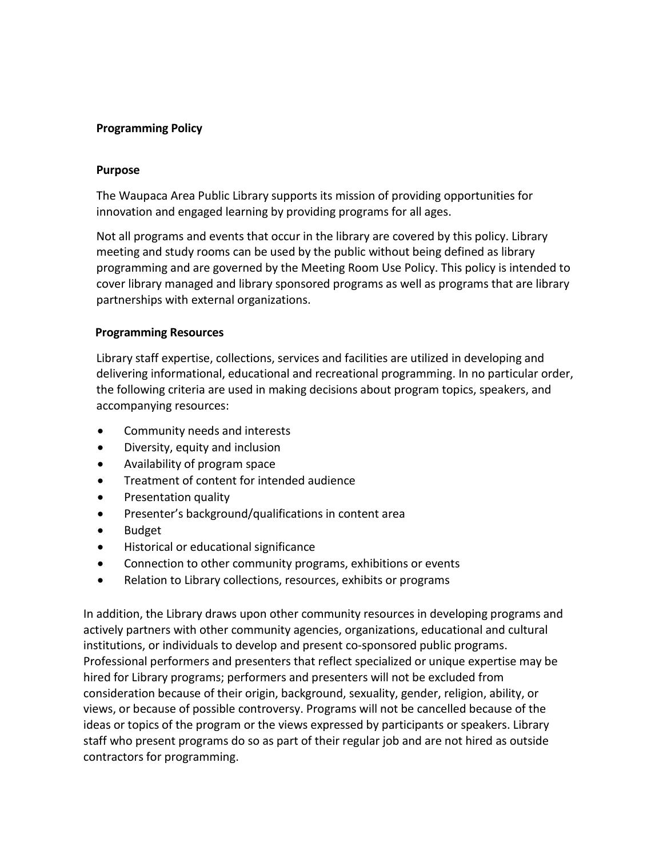## **Programming Policy**

### **Purpose**

The Waupaca Area Public Library supports its mission of providing opportunities for innovation and engaged learning by providing programs for all ages.

Not all programs and events that occur in the library are covered by this policy. Library meeting and study rooms can be used by the public without being defined as library programming and are governed by the Meeting Room Use Policy. This policy is intended to cover library managed and library sponsored programs as well as programs that are library partnerships with external organizations.

#### **Programming Resources**

Library staff expertise, collections, services and facilities are utilized in developing and delivering informational, educational and recreational programming. In no particular order, the following criteria are used in making decisions about program topics, speakers, and accompanying resources:

- Community needs and interests
- Diversity, equity and inclusion
- Availability of program space
- Treatment of content for intended audience
- Presentation quality
- Presenter's background/qualifications in content area
- Budget
- Historical or educational significance
- Connection to other community programs, exhibitions or events
- Relation to Library collections, resources, exhibits or programs

In addition, the Library draws upon other community resources in developing programs and actively partners with other community agencies, organizations, educational and cultural institutions, or individuals to develop and present co-sponsored public programs. Professional performers and presenters that reflect specialized or unique expertise may be hired for Library programs; performers and presenters will not be excluded from consideration because of their origin, background, sexuality, gender, religion, ability, or views, or because of possible controversy. Programs will not be cancelled because of the ideas or topics of the program or the views expressed by participants or speakers. Library staff who present programs do so as part of their regular job and are not hired as outside contractors for programming.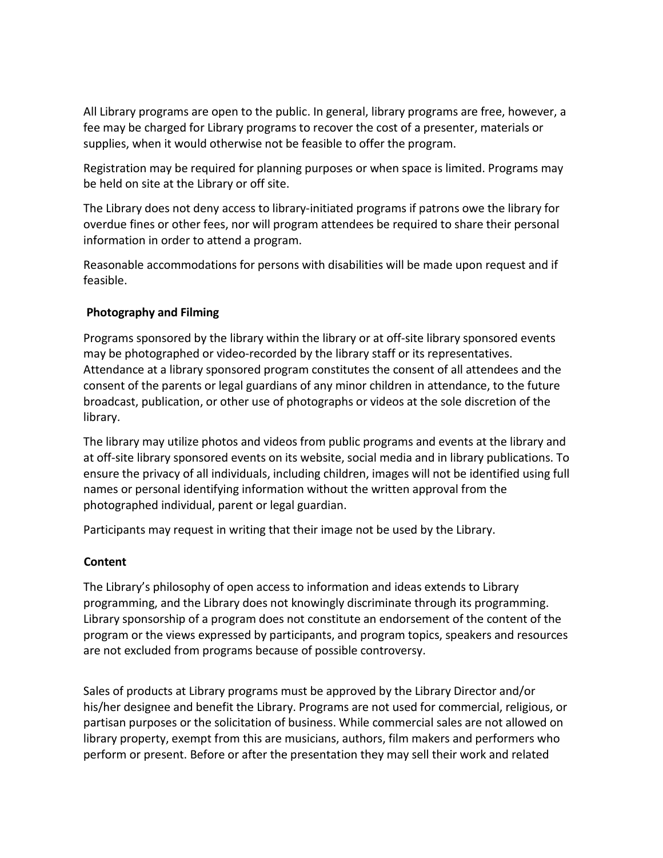All Library programs are open to the public. In general, library programs are free, however, a fee may be charged for Library programs to recover the cost of a presenter, materials or supplies, when it would otherwise not be feasible to offer the program.

Registration may be required for planning purposes or when space is limited. Programs may be held on site at the Library or off site.

The Library does not deny access to library-initiated programs if patrons owe the library for overdue fines or other fees, nor will program attendees be required to share their personal information in order to attend a program.

Reasonable accommodations for persons with disabilities will be made upon request and if feasible.

# **Photography and Filming**

Programs sponsored by the library within the library or at off-site library sponsored events may be photographed or video-recorded by the library staff or its representatives. Attendance at a library sponsored program constitutes the consent of all attendees and the consent of the parents or legal guardians of any minor children in attendance, to the future broadcast, publication, or other use of photographs or videos at the sole discretion of the library.

The library may utilize photos and videos from public programs and events at the library and at off-site library sponsored events on its website, social media and in library publications. To ensure the privacy of all individuals, including children, images will not be identified using full names or personal identifying information without the written approval from the photographed individual, parent or legal guardian.

Participants may request in writing that their image not be used by the Library.

## **Content**

The Library's philosophy of open access to information and ideas extends to Library programming, and the Library does not knowingly discriminate through its programming. Library sponsorship of a program does not constitute an endorsement of the content of the program or the views expressed by participants, and program topics, speakers and resources are not excluded from programs because of possible controversy.

Sales of products at Library programs must be approved by the Library Director and/or his/her designee and benefit the Library. Programs are not used for commercial, religious, or partisan purposes or the solicitation of business. While commercial sales are not allowed on library property, exempt from this are musicians, authors, film makers and performers who perform or present. Before or after the presentation they may sell their work and related